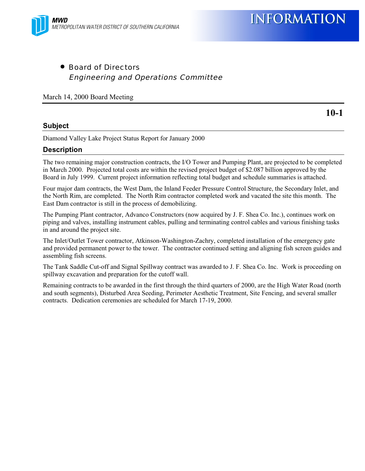

• Board of Directors Engineering and Operations Committee

#### March 14, 2000 Board Meeting

#### **Subject**

**10-1**

Diamond Valley Lake Project Status Report for January 2000

#### **Description**

The two remaining major construction contracts, the I/O Tower and Pumping Plant, are projected to be completed in March 2000. Projected total costs are within the revised project budget of \$2.087 billion approved by the Board in July 1999. Current project information reflecting total budget and schedule summaries is attached.

Four major dam contracts, the West Dam, the Inland Feeder Pressure Control Structure, the Secondary Inlet, and the North Rim, are completed. The North Rim contractor completed work and vacated the site this month. The East Dam contractor is still in the process of demobilizing.

The Pumping Plant contractor, Advanco Constructors (now acquired by J. F. Shea Co. Inc.), continues work on piping and valves, installing instrument cables, pulling and terminating control cables and various finishing tasks in and around the project site.

The Inlet/Outlet Tower contractor, Atkinson-Washington-Zachry, completed installation of the emergency gate and provided permanent power to the tower. The contractor continued setting and aligning fish screen guides and assembling fish screens.

The Tank Saddle Cut-off and Signal Spillway contract was awarded to J. F. Shea Co. Inc. Work is proceeding on spillway excavation and preparation for the cutoff wall.

Remaining contracts to be awarded in the first through the third quarters of 2000, are the High Water Road (north and south segments), Disturbed Area Seeding, Perimeter Aesthetic Treatment, Site Fencing, and several smaller contracts. Dedication ceremonies are scheduled for March 17-19, 2000.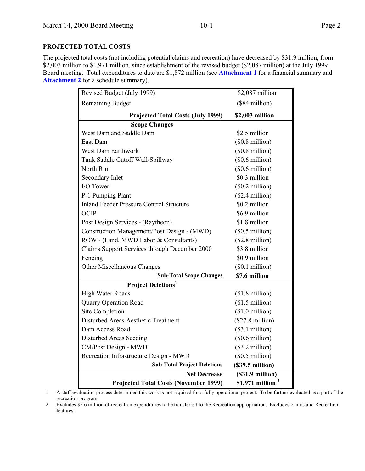#### **PROJECTED TOTAL COSTS**

The projected total costs (not including potential claims and recreation) have decreased by \$31.9 million, from \$2,003 million to \$1,971 million, since establishment of the revised budget (\$2,087 million) at the July 1999 Board meeting. Total expenditures to date are \$1,872 million (see **Attachment 1** for a financial summary and **Attachment 2** for a schedule summary).

| Revised Budget (July 1999)                      | \$2,087 million           |
|-------------------------------------------------|---------------------------|
| <b>Remaining Budget</b>                         | $($84$ million)           |
| <b>Projected Total Costs (July 1999)</b>        | \$2,003 million           |
| <b>Scope Changes</b>                            |                           |
| West Dam and Saddle Dam                         | \$2.5 million             |
| East Dam                                        | $($0.8 \text{ million})$  |
| <b>West Dam Earthwork</b>                       | $($0.8 \text{ million})$  |
| Tank Saddle Cutoff Wall/Spillway                | $(\$0.6$ million)         |
| North Rim                                       | $(\$0.6$ million)         |
| Secondary Inlet                                 | \$0.3 million             |
| I/O Tower                                       | $($0.2 \text{ million})$  |
| P-1 Pumping Plant                               | $($2.4$ million)          |
| <b>Inland Feeder Pressure Control Structure</b> | \$0.2 million             |
| <b>OCIP</b>                                     | \$6.9 million             |
| Post Design Services - (Raytheon)               | \$1.8 million             |
| Construction Management/Post Design - (MWD)     | (\$0.5\$ million)         |
| ROW - (Land, MWD Labor & Consultants)           | $($2.8 \text{ million})$  |
| Claims Support Services through December 2000   | \$3.8 million             |
| Fencing                                         | \$0.9 million             |
| Other Miscellaneous Changes                     | (\$0.1 million)           |
| <b>Sub-Total Scope Changes</b>                  | \$7.6 million             |
| <b>Project Deletions</b> <sup>1</sup>           |                           |
| <b>High Water Roads</b>                         | $($1.8 \text{ million})$  |
| <b>Quarry Operation Road</b>                    | $($1.5 \text{ million})$  |
| Site Completion                                 | $($1.0 \text{ million})$  |
| Disturbed Areas Aesthetic Treatment             | $(\$27.8$ million)        |
| Dam Access Road                                 | (\$3.1 million)           |
| Disturbed Areas Seeding                         | $(\$0.6$ million)         |
| CM/Post Design - MWD                            | $($3.2 \text{ million})$  |
| Recreation Infrastructure Design - MWD          | $(\$0.5$ million)         |
| <b>Sub-Total Project Deletions</b>              | $($39.5 \text{ million})$ |
| <b>Net Decrease</b>                             | $($ \$31.9 million $)$    |
| <b>Projected Total Costs (November 1999)</b>    | \$1,971 million $3$       |

1 A staff evaluation process determined this work is not required for a fully operational project. To be further evaluated as a part of the recreation program.

2 Excludes \$5.6 million of recreation expenditures to be transferred to the Recreation appropriation. Excludes claims and Recreation features.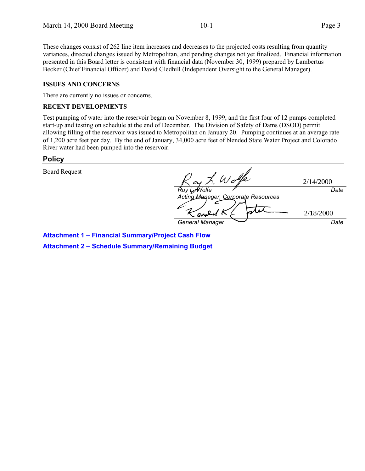These changes consist of 262 line item increases and decreases to the projected costs resulting from quantity variances, directed changes issued by Metropolitan, and pending changes not yet finalized. Financial information presented in this Board letter is consistent with financial data (November 30, 1999) prepared by Lambertus Becker (Chief Financial Officer) and David Gledhill (Independent Oversight to the General Manager).

#### **ISSUES AND CONCERNS**

There are currently no issues or concerns.

#### **RECENT DEVELOPMENTS**

Test pumping of water into the reservoir began on November 8, 1999, and the first four of 12 pumps completed start-up and testing on schedule at the end of December. The Division of Safety of Dams (DSOD) permit allowing filling of the reservoir was issued to Metropolitan on January 20. Pumping continues at an average rate of 1,200 acre feet per day. By the end of January, 34,000 acre feet of blended State Water Project and Colorado River water had been pumped into the reservoir.

**Policy**

Board Request

*Roy L. Wolfe Acting Manager, Corporate Resources Date General Manager Date* 2/14/2000 2/18/2000

**Attachment 1 – Financial Summary/Project Cash Flow Attachment 2 – Schedule Summary/Remaining Budget**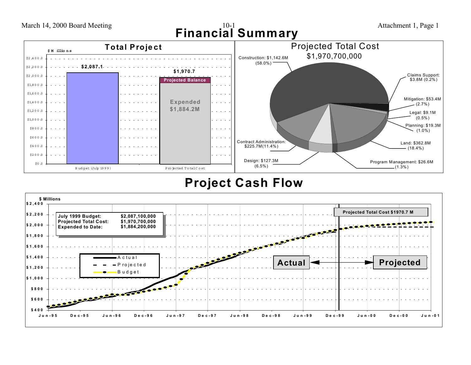March 14, 2000 Board Meeting 10-1 2 10-1 10-1 2 10-1 Attachment 1, Page 1 **Financial Summary**



# **Project Cash Flow**